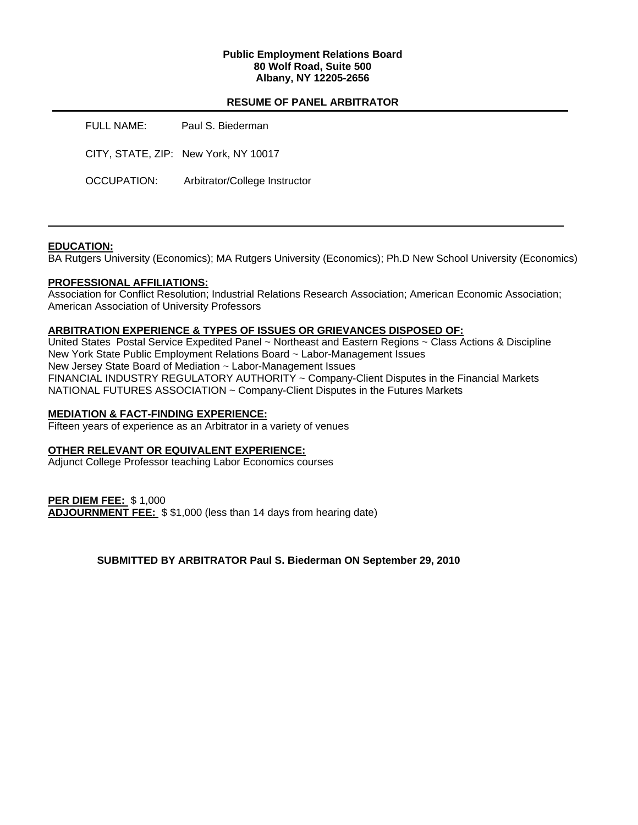### **Public Employment Relations Board 80 Wolf Road, Suite 500 Albany, NY 12205-2656**

## **RESUME OF PANEL ARBITRATOR**

FULL NAME: Paul S. Biederman CITY, STATE, ZIP: New York, NY 10017 OCCUPATION: Arbitrator/College Instructor

### **EDUCATION:**

BA Rutgers University (Economics); MA Rutgers University (Economics); Ph.D New School University (Economics)

### **PROFESSIONAL AFFILIATIONS:**

Association for Conflict Resolution; Industrial Relations Research Association; American Economic Association; American Association of University Professors

#### **ARBITRATION EXPERIENCE & TYPES OF ISSUES OR GRIEVANCES DISPOSED OF:**

United States Postal Service Expedited Panel ~ Northeast and Eastern Regions ~ Class Actions & Discipline New York State Public Employment Relations Board ~ Labor-Management Issues New Jersey State Board of Mediation ~ Labor-Management Issues FINANCIAL INDUSTRY REGULATORY AUTHORITY ~ Company-Client Disputes in the Financial Markets NATIONAL FUTURES ASSOCIATION ~ Company-Client Disputes in the Futures Markets

#### **MEDIATION & FACT-FINDING EXPERIENCE:**

Fifteen years of experience as an Arbitrator in a variety of venues

### **OTHER RELEVANT OR EQUIVALENT EXPERIENCE:**

Adjunct College Professor teaching Labor Economics courses

### **PER DIEM FEE:** \$ 1,000

**ADJOURNMENT FEE:** \$ \$1,000 (less than 14 days from hearing date)

### **SUBMITTED BY ARBITRATOR Paul S. Biederman ON September 29, 2010**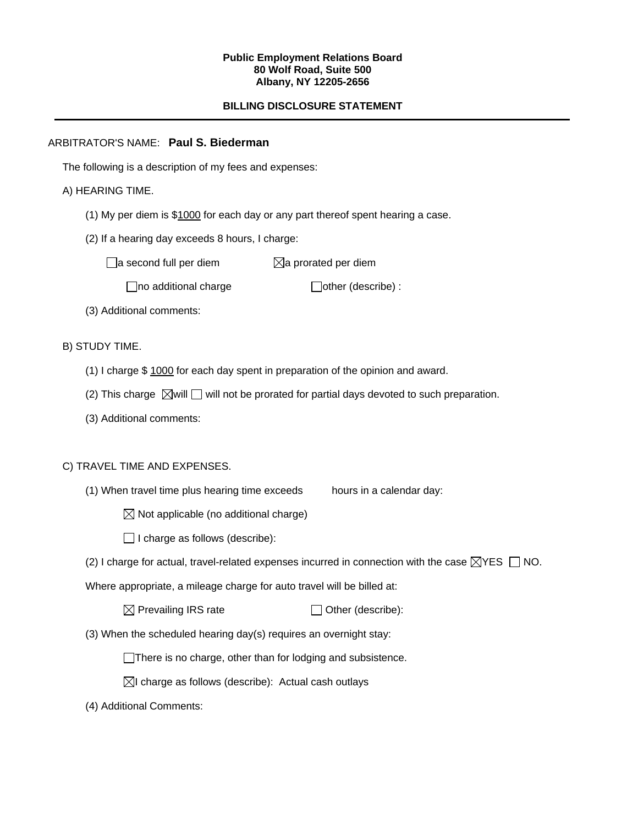#### **Public Employment Relations Board 80 Wolf Road, Suite 500 Albany, NY 12205-2656**

# **BILLING DISCLOSURE STATEMENT**

## ARBITRATOR'S NAME: **Paul S. Biederman**

The following is a description of my fees and expenses:

## A) HEARING TIME.

- (1) My per diem is \$1000 for each day or any part thereof spent hearing a case.
- (2) If a hearing day exceeds 8 hours, I charge:

 $\Box$ a second full per diem  $\boxtimes$ a prorated per diem

 $\Box$ no additional charge  $\Box$ other (describe) :

(3) Additional comments:

B) STUDY TIME.

- (1) I charge \$ 1000 for each day spent in preparation of the opinion and award.
- (2) This charge  $\boxtimes$  will  $\Box$  will not be prorated for partial days devoted to such preparation.
- (3) Additional comments:

### C) TRAVEL TIME AND EXPENSES.

- (1) When travel time plus hearing time exceeds hours in a calendar day:
	- $\boxtimes$  Not applicable (no additional charge)
	- $\Box$  I charge as follows (describe):
- (2) I charge for actual, travel-related expenses incurred in connection with the case  $\boxtimes$ YES  $\Box$  NO.

Where appropriate, a mileage charge for auto travel will be billed at:

| $\boxtimes$ Prevailing IRS rate | $\Box$ Other (describe): |
|---------------------------------|--------------------------|
|---------------------------------|--------------------------|

(3) When the scheduled hearing day(s) requires an overnight stay:

There is no charge, other than for lodging and subsistence.

- $\boxtimes$ I charge as follows (describe): Actual cash outlays
- (4) Additional Comments: